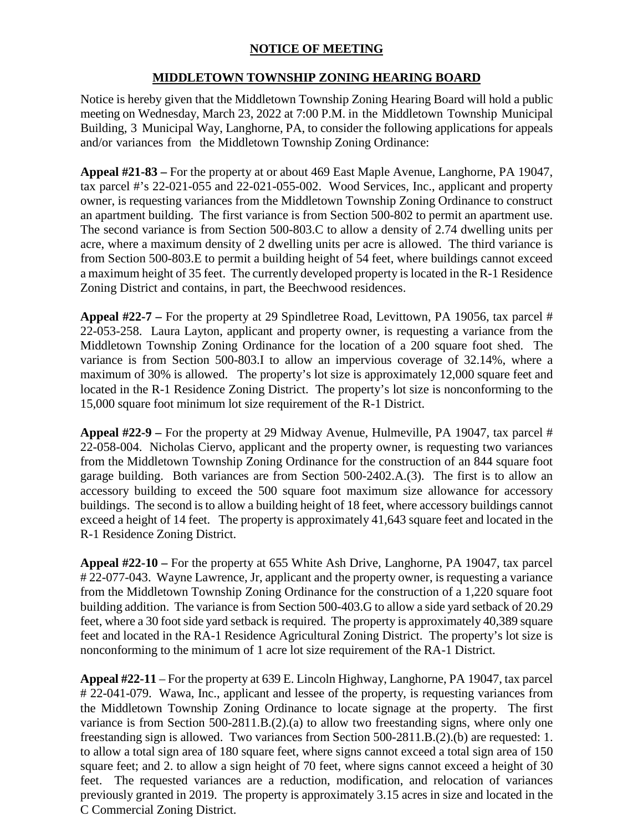## **NOTICE OF MEETING**

## **MIDDLETOWN TOWNSHIP ZONING HEARING BOARD**

Notice is hereby given that the Middletown Township Zoning Hearing Board will hold a public meeting on Wednesday, March 23, 2022 at 7:00 P.M. in the Middletown Township Municipal Building, 3 Municipal Way, Langhorne, PA, to consider the following applications for appeals and/or variances from the Middletown Township Zoning Ordinance:

**Appeal #21-83 –** For the property at or about 469 East Maple Avenue, Langhorne, PA 19047, tax parcel #'s 22-021-055 and 22-021-055-002. Wood Services, Inc., applicant and property owner, is requesting variances from the Middletown Township Zoning Ordinance to construct an apartment building. The first variance is from Section 500-802 to permit an apartment use. The second variance is from Section 500-803.C to allow a density of 2.74 dwelling units per acre, where a maximum density of 2 dwelling units per acre is allowed. The third variance is from Section 500-803.E to permit a building height of 54 feet, where buildings cannot exceed a maximum height of 35 feet. The currently developed property is located in the R-1 Residence Zoning District and contains, in part, the Beechwood residences.

**Appeal #22-7 –** For the property at 29 Spindletree Road, Levittown, PA 19056, tax parcel # 22-053-258. Laura Layton, applicant and property owner, is requesting a variance from the Middletown Township Zoning Ordinance for the location of a 200 square foot shed. The variance is from Section 500-803.I to allow an impervious coverage of 32.14%, where a maximum of 30% is allowed. The property's lot size is approximately 12,000 square feet and located in the R-1 Residence Zoning District. The property's lot size is nonconforming to the 15,000 square foot minimum lot size requirement of the R-1 District.

**Appeal #22-9 –** For the property at 29 Midway Avenue, Hulmeville, PA 19047, tax parcel # 22-058-004. Nicholas Ciervo, applicant and the property owner, is requesting two variances from the Middletown Township Zoning Ordinance for the construction of an 844 square foot garage building. Both variances are from Section 500-2402.A.(3). The first is to allow an accessory building to exceed the 500 square foot maximum size allowance for accessory buildings. The second is to allow a building height of 18 feet, where accessory buildings cannot exceed a height of 14 feet. The property is approximately 41,643 square feet and located in the R-1 Residence Zoning District.

**Appeal #22-10 –** For the property at 655 White Ash Drive, Langhorne, PA 19047, tax parcel # 22-077-043. Wayne Lawrence, Jr, applicant and the property owner, is requesting a variance from the Middletown Township Zoning Ordinance for the construction of a 1,220 square foot building addition. The variance is from Section 500-403.G to allow a side yard setback of 20.29 feet, where a 30 foot side yard setback is required. The property is approximately 40,389 square feet and located in the RA-1 Residence Agricultural Zoning District. The property's lot size is nonconforming to the minimum of 1 acre lot size requirement of the RA-1 District.

**Appeal #22-11** – For the property at 639 E. Lincoln Highway, Langhorne, PA 19047, tax parcel # 22-041-079. Wawa, Inc., applicant and lessee of the property, is requesting variances from the Middletown Township Zoning Ordinance to locate signage at the property. The first variance is from Section 500-2811.B.(2).(a) to allow two freestanding signs, where only one freestanding sign is allowed. Two variances from Section 500-2811.B.(2).(b) are requested: 1. to allow a total sign area of 180 square feet, where signs cannot exceed a total sign area of 150 square feet; and 2. to allow a sign height of 70 feet, where signs cannot exceed a height of 30 feet. The requested variances are a reduction, modification, and relocation of variances previously granted in 2019. The property is approximately 3.15 acres in size and located in the C Commercial Zoning District.